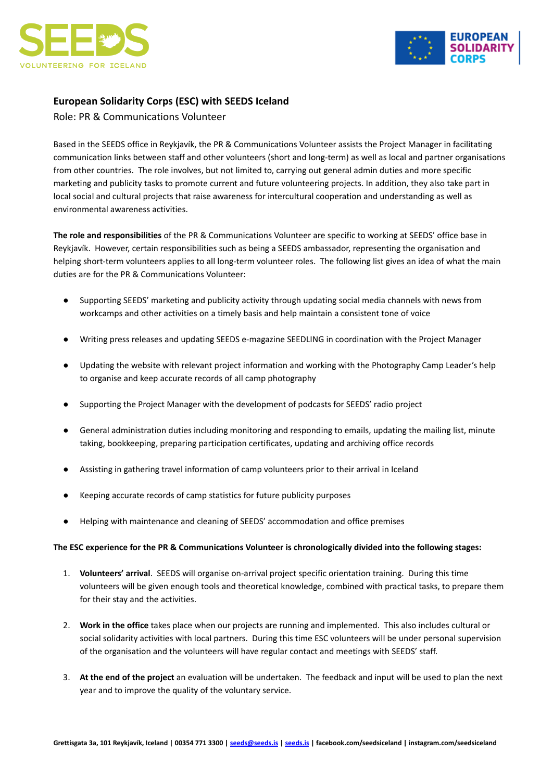



## **European Solidarity Corps (ESC) with SEEDS Iceland**

Role: PR & Communications Volunteer

Based in the SEEDS office in Reykjavík, the PR & Communications Volunteer assists the Project Manager in facilitating communication links between staff and other volunteers (short and long-term) as well as local and partner organisations from other countries. The role involves, but not limited to, carrying out general admin duties and more specific marketing and publicity tasks to promote current and future volunteering projects. In addition, they also take part in local social and cultural projects that raise awareness for intercultural cooperation and understanding as well as environmental awareness activities.

**The role and responsibilities** of the PR & Communications Volunteer are specific to working at SEEDS' office base in Reykjavík. However, certain responsibilities such as being a SEEDS ambassador, representing the organisation and helping short-term volunteers applies to all long-term volunteer roles. The following list gives an idea of what the main duties are for the PR & Communications Volunteer:

- Supporting SEEDS' marketing and publicity activity through updating social media channels with news from workcamps and other activities on a timely basis and help maintain a consistent tone of voice
- Writing press releases and updating SEEDS e-magazine SEEDLING in coordination with the Project Manager
- Updating the website with relevant project information and working with the Photography Camp Leader's help to organise and keep accurate records of all camp photography
- Supporting the Project Manager with the development of podcasts for SEEDS' radio project
- General administration duties including monitoring and responding to emails, updating the mailing list, minute taking, bookkeeping, preparing participation certificates, updating and archiving office records
- Assisting in gathering travel information of camp volunteers prior to their arrival in Iceland
- Keeping accurate records of camp statistics for future publicity purposes
- Helping with maintenance and cleaning of SEEDS' accommodation and office premises

## **The ESC experience for the PR & Communications Volunteer is chronologically divided into the following stages:**

- 1. **Volunteers' arrival**. SEEDS will organise on-arrival project specific orientation training. During this time volunteers will be given enough tools and theoretical knowledge, combined with practical tasks, to prepare them for their stay and the activities.
- 2. **Work in the office** takes place when our projects are running and implemented. This also includes cultural or social solidarity activities with local partners. During this time ESC volunteers will be under personal supervision of the organisation and the volunteers will have regular contact and meetings with SEEDS' staff.
- 3. **At the end of the project** an evaluation will be undertaken. The feedback and input will be used to plan the next year and to improve the quality of the voluntary service.